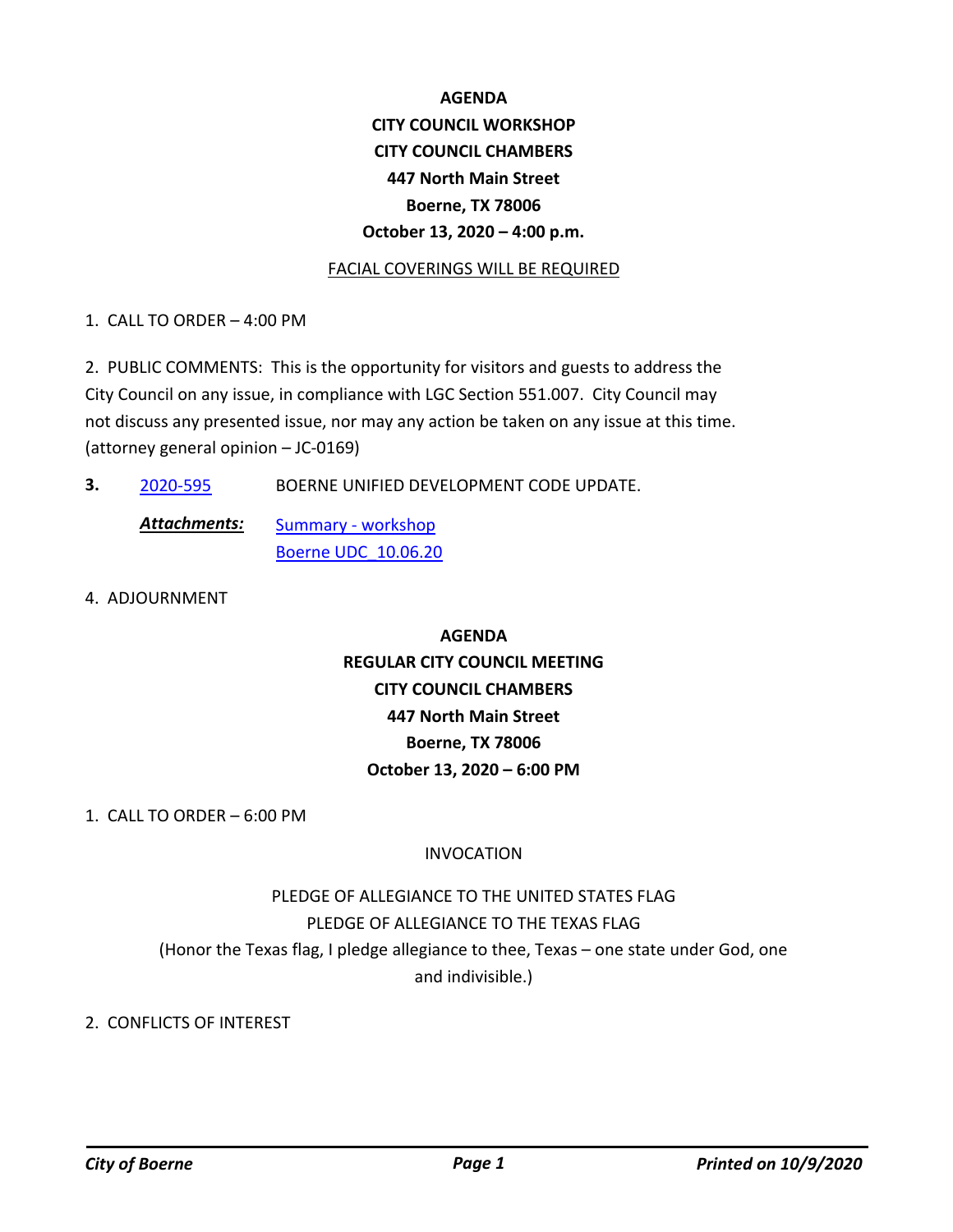# **AGENDA CITY COUNCIL WORKSHOP CITY COUNCIL CHAMBERS 447 North Main Street Boerne, TX 78006 October 13, 2020 – 4:00 p.m.**

#### FACIAL COVERINGS WILL BE REQUIRED

1. CALL TO ORDER – 4:00 PM

2. PUBLIC COMMENTS: This is the opportunity for visitors and guests to address the City Council on any issue, in compliance with LGC Section 551.007. City Council may not discuss any presented issue, nor may any action be taken on any issue at this time. (attorney general opinion – JC-0169)

**3.** [2020-595](http://boerne.legistar.com/gateway.aspx?m=l&id=/matter.aspx?key=5514) BOERNE UNIFIED DEVELOPMENT CODE UPDATE.

[Summary - workshop](http://boerne.legistar.com/gateway.aspx?M=F&ID=94e20620-a0f0-41db-8275-6828430fc2bf.docx) [Boerne UDC\\_10.06.20](http://boerne.legistar.com/gateway.aspx?M=F&ID=4731b515-87a0-42d7-ba1f-0a2e6466fda3.pdf) *Attachments:*

4. ADJOURNMENT

**AGENDA REGULAR CITY COUNCIL MEETING CITY COUNCIL CHAMBERS 447 North Main Street Boerne, TX 78006 October 13, 2020 – 6:00 PM**

1. CALL TO ORDER – 6:00 PM

## INVOCATION

PLEDGE OF ALLEGIANCE TO THE UNITED STATES FLAG PLEDGE OF ALLEGIANCE TO THE TEXAS FLAG (Honor the Texas flag, I pledge allegiance to thee, Texas – one state under God, one and indivisible.)

2. CONFLICTS OF INTEREST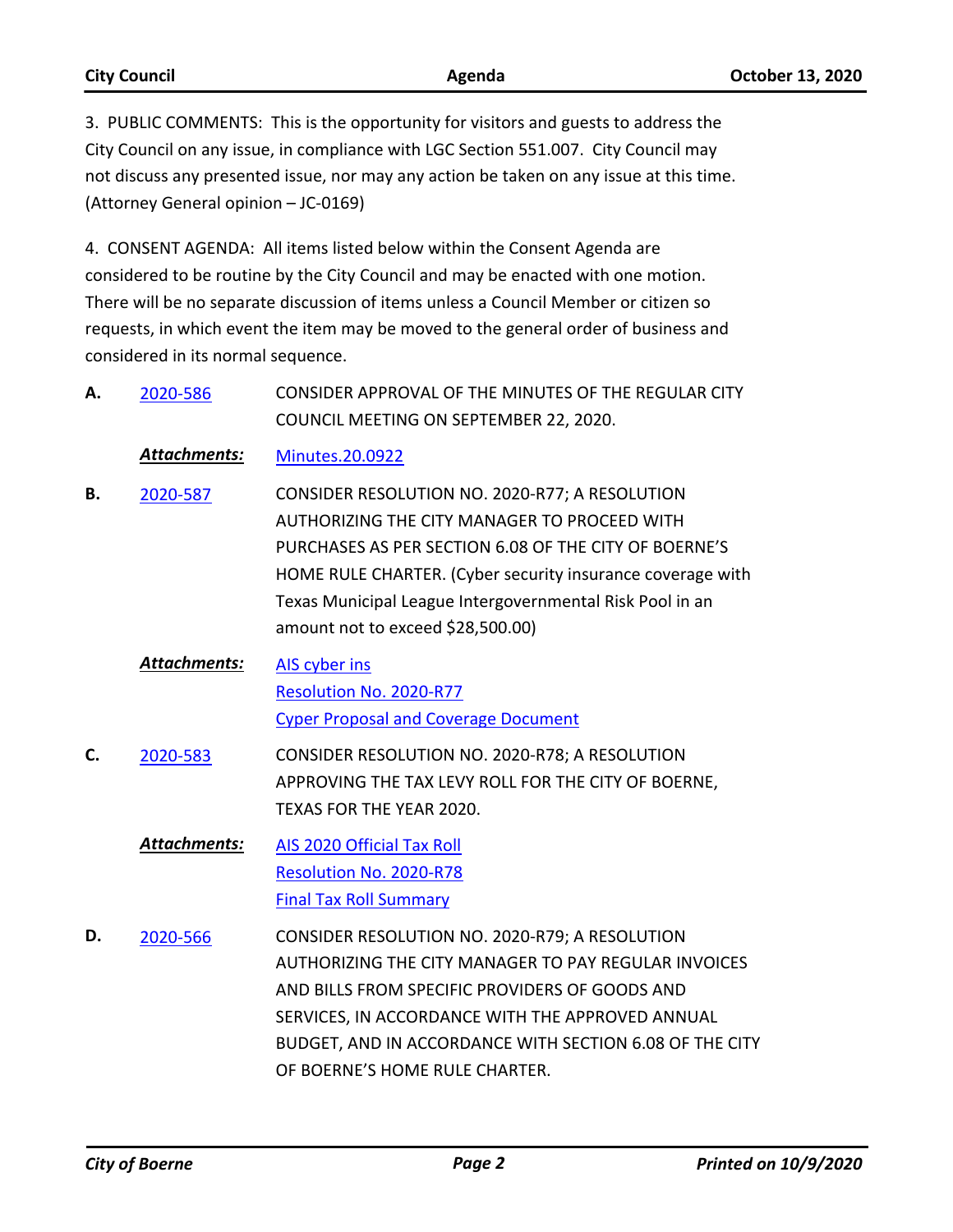| <b>City Council</b> | Agenda                                                                             | <b>October 13, 2020</b> |
|---------------------|------------------------------------------------------------------------------------|-------------------------|
|                     | 3. PUBLIC COMMENTS: This is the opportunity for visitors and guests to address the |                         |

CONSIDER APPROVAL OF THE MINUTES OF THE REGULAR CITY

City Council on any issue, in compliance with LGC Section 551.007. City Council may not discuss any presented issue, nor may any action be taken on any issue at this time. (Attorney General opinion – JC-0169)

4. CONSENT AGENDA: All items listed below within the Consent Agenda are considered to be routine by the City Council and may be enacted with one motion. There will be no separate discussion of items unless a Council Member or citizen so requests, in which event the item may be moved to the general order of business and considered in its normal sequence.

|    | טטכ טבטב     | יט כו אווויט וס וווב ויווד וס וואס וויו<br>COUNCIL MEETING ON SEPTEMBER 22, 2020.                                                                                                                                                                                                                                      |
|----|--------------|------------------------------------------------------------------------------------------------------------------------------------------------------------------------------------------------------------------------------------------------------------------------------------------------------------------------|
|    | Attachments: | <b>Minutes.20.0922</b>                                                                                                                                                                                                                                                                                                 |
| В. | 2020-587     | CONSIDER RESOLUTION NO. 2020-R77; A RESOLUTION<br>AUTHORIZING THE CITY MANAGER TO PROCEED WITH<br>PURCHASES AS PER SECTION 6.08 OF THE CITY OF BOERNE'S<br>HOME RULE CHARTER. (Cyber security insurance coverage with<br>Texas Municipal League Intergovernmental Risk Pool in an<br>amount not to exceed \$28,500.00) |
|    | Attachments: | AIS cyber ins<br>Resolution No. 2020-R77<br><b>Cyper Proposal and Coverage Document</b>                                                                                                                                                                                                                                |
| C. | 2020-583     | CONSIDER RESOLUTION NO. 2020-R78; A RESOLUTION<br>APPROVING THE TAX LEVY ROLL FOR THE CITY OF BOERNE,<br>TEXAS FOR THE YEAR 2020.                                                                                                                                                                                      |
|    | Attachments: | AIS 2020 Official Tax Roll<br>Resolution No. 2020-R78<br><b>Final Tax Roll Summary</b>                                                                                                                                                                                                                                 |
| D. | 2020-566     | CONSIDER RESOLUTION NO. 2020-R79; A RESOLUTION<br>AUTHORIZING THE CITY MANAGER TO PAY REGULAR INVOICES<br>AND BILLS FROM SPECIFIC PROVIDERS OF GOODS AND<br>SERVICES, IN ACCORDANCE WITH THE APPROVED ANNUAL<br>BUDGET, AND IN ACCORDANCE WITH SECTION 6.08 OF THE CITY<br>OF BOERNE'S HOME RULE CHARTER.              |

**A.** [2020-586](http://boerne.legistar.com/gateway.aspx?m=l&id=/matter.aspx?key=5505)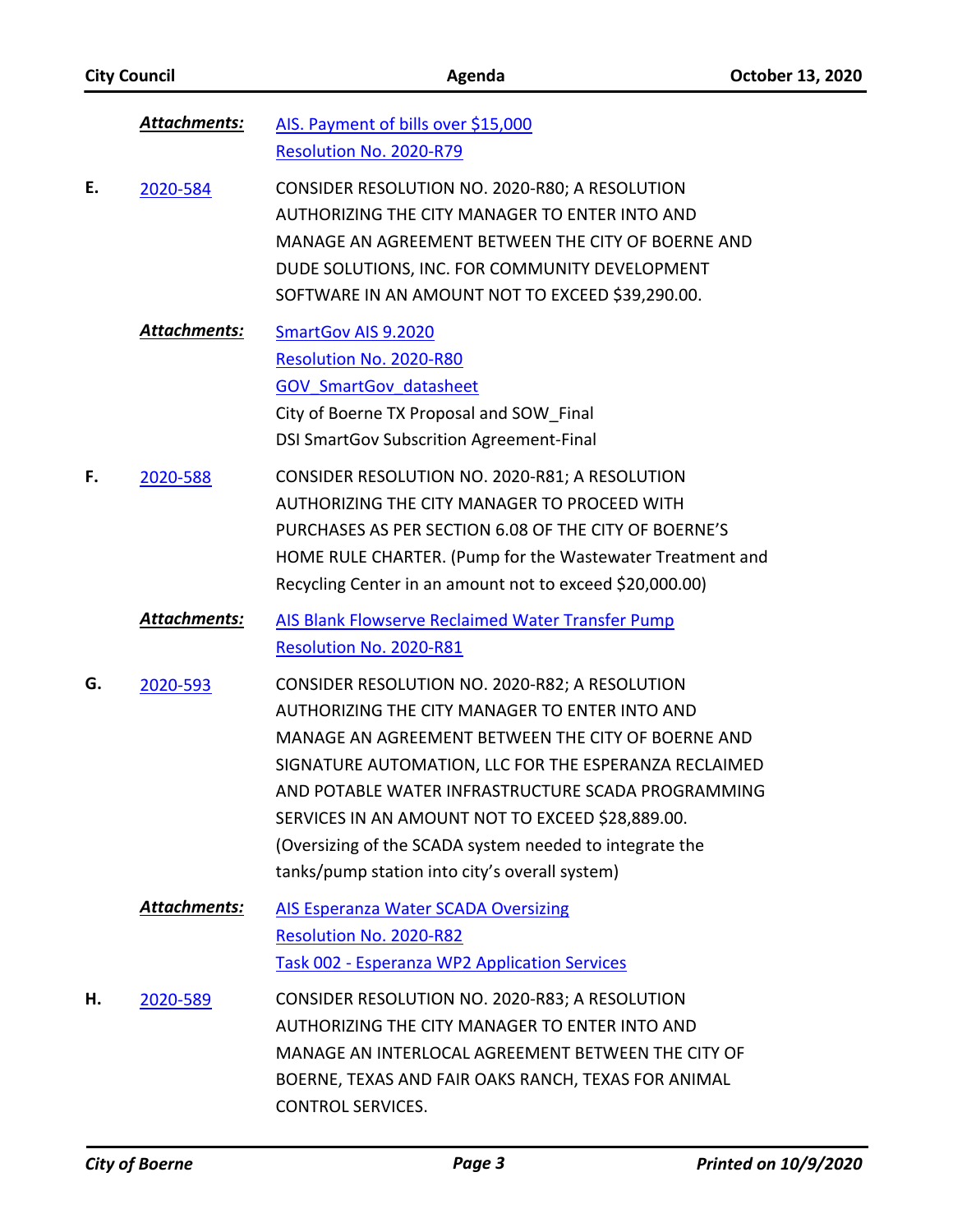|    | <b>Attachments:</b> | AIS. Payment of bills over \$15,000<br>Resolution No. 2020-R79                                                                                                                                                                                                                                                                                                                                                                         |
|----|---------------------|----------------------------------------------------------------------------------------------------------------------------------------------------------------------------------------------------------------------------------------------------------------------------------------------------------------------------------------------------------------------------------------------------------------------------------------|
| Ε. | 2020-584            | CONSIDER RESOLUTION NO. 2020-R80; A RESOLUTION<br>AUTHORIZING THE CITY MANAGER TO ENTER INTO AND<br>MANAGE AN AGREEMENT BETWEEN THE CITY OF BOERNE AND<br>DUDE SOLUTIONS, INC. FOR COMMUNITY DEVELOPMENT<br>SOFTWARE IN AN AMOUNT NOT TO EXCEED \$39,290.00.                                                                                                                                                                           |
|    | <b>Attachments:</b> | <b>SmartGov AIS 9.2020</b><br>Resolution No. 2020-R80<br><b>GOV SmartGov datasheet</b><br>City of Boerne TX Proposal and SOW Final<br><b>DSI SmartGov Subscrition Agreement-Final</b>                                                                                                                                                                                                                                                  |
| F. | 2020-588            | CONSIDER RESOLUTION NO. 2020-R81; A RESOLUTION<br>AUTHORIZING THE CITY MANAGER TO PROCEED WITH<br>PURCHASES AS PER SECTION 6.08 OF THE CITY OF BOERNE'S<br>HOME RULE CHARTER. (Pump for the Wastewater Treatment and<br>Recycling Center in an amount not to exceed \$20,000.00)                                                                                                                                                       |
|    | Attachments:        | <b>AIS Blank Flowserve Reclaimed Water Transfer Pump</b><br>Resolution No. 2020-R81                                                                                                                                                                                                                                                                                                                                                    |
| G. | 2020-593            | CONSIDER RESOLUTION NO. 2020-R82; A RESOLUTION<br>AUTHORIZING THE CITY MANAGER TO ENTER INTO AND<br>MANAGE AN AGREEMENT BETWEEN THE CITY OF BOERNE AND<br>SIGNATURE AUTOMATION, LLC FOR THE ESPERANZA RECLAIMED<br>AND POTABLE WATER INFRASTRUCTURE SCADA PROGRAMMING<br>SERVICES IN AN AMOUNT NOT TO EXCEED \$28,889.00.<br>(Oversizing of the SCADA system needed to integrate the<br>tanks/pump station into city's overall system) |
|    | Attachments:        | <b>AIS Esperanza Water SCADA Oversizing</b><br>Resolution No. 2020-R82<br><b>Task 002 - Esperanza WP2 Application Services</b>                                                                                                                                                                                                                                                                                                         |
| Н. | 2020-589            | CONSIDER RESOLUTION NO. 2020-R83; A RESOLUTION<br>AUTHORIZING THE CITY MANAGER TO ENTER INTO AND<br>MANAGE AN INTERLOCAL AGREEMENT BETWEEN THE CITY OF<br>BOERNE, TEXAS AND FAIR OAKS RANCH, TEXAS FOR ANIMAL<br><b>CONTROL SERVICES.</b>                                                                                                                                                                                              |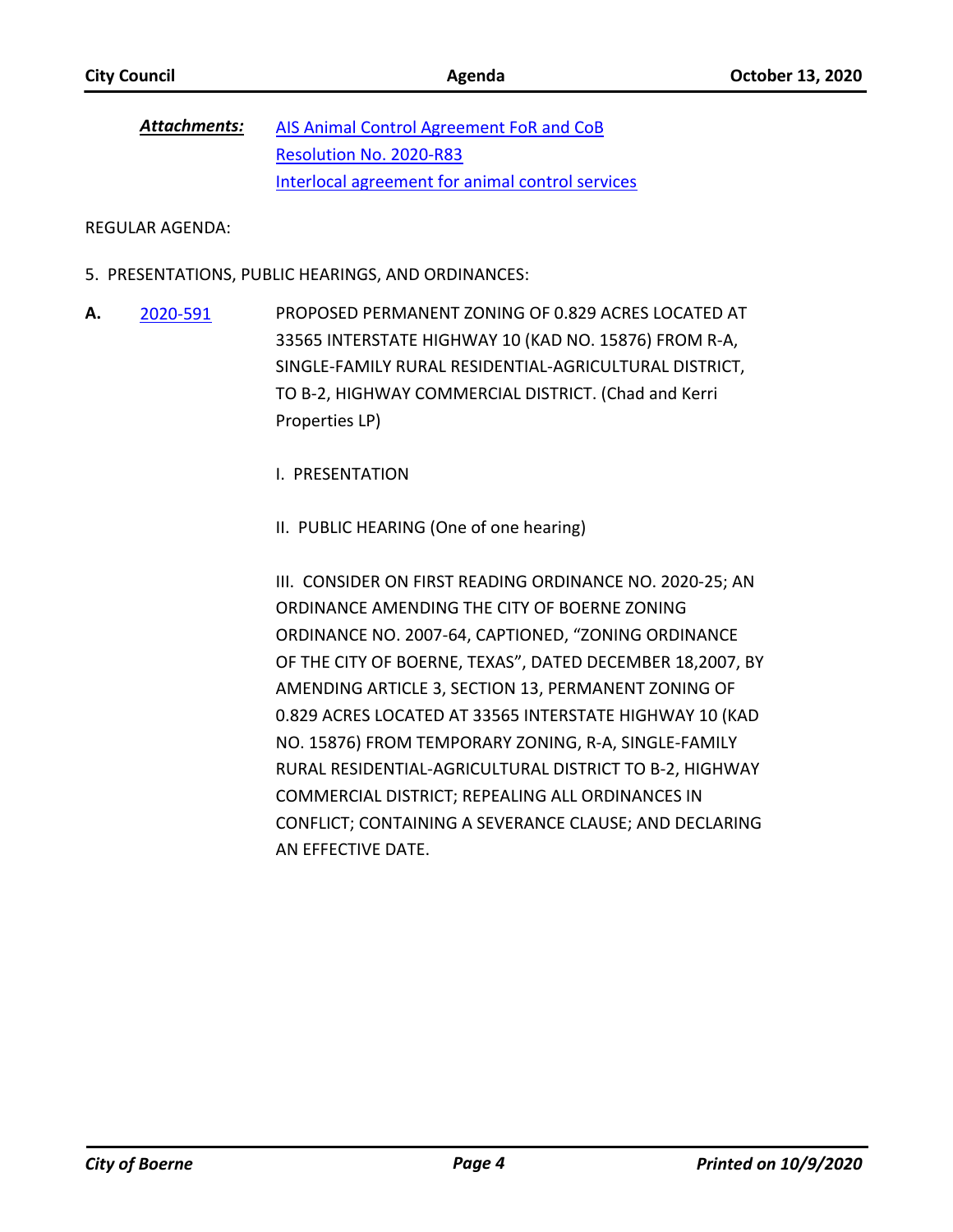[AIS Animal Control Agreement FoR and CoB](http://boerne.legistar.com/gateway.aspx?M=F&ID=70aca3ac-db63-4b0f-9aa1-fbfef9ea1c99.docx) [Resolution No. 2020-R83](http://boerne.legistar.com/gateway.aspx?M=F&ID=4cd33329-84be-4cfc-853a-fda4754518e1.docx) [Interlocal agreement for animal control services](http://boerne.legistar.com/gateway.aspx?M=F&ID=0b057bc3-5472-4f9d-b8b8-0b871db345b7.pdf) *Attachments:*

REGULAR AGENDA:

- 5. PRESENTATIONS, PUBLIC HEARINGS, AND ORDINANCES:
- PROPOSED PERMANENT ZONING OF 0.829 ACRES LOCATED AT 33565 INTERSTATE HIGHWAY 10 (KAD NO. 15876) FROM R-A, SINGLE-FAMILY RURAL RESIDENTIAL-AGRICULTURAL DISTRICT, TO B-2, HIGHWAY COMMERCIAL DISTRICT. (Chad and Kerri Properties LP) **A.** [2020-591](http://boerne.legistar.com/gateway.aspx?m=l&id=/matter.aspx?key=5510)

I. PRESENTATION

II. PUBLIC HEARING (One of one hearing)

III. CONSIDER ON FIRST READING ORDINANCE NO. 2020-25; AN ORDINANCE AMENDING THE CITY OF BOERNE ZONING ORDINANCE NO. 2007-64, CAPTIONED, "ZONING ORDINANCE OF THE CITY OF BOERNE, TEXAS", DATED DECEMBER 18,2007, BY AMENDING ARTICLE 3, SECTION 13, PERMANENT ZONING OF 0.829 ACRES LOCATED AT 33565 INTERSTATE HIGHWAY 10 (KAD NO. 15876) FROM TEMPORARY ZONING, R-A, SINGLE-FAMILY RURAL RESIDENTIAL-AGRICULTURAL DISTRICT TO B-2, HIGHWAY COMMERCIAL DISTRICT; REPEALING ALL ORDINANCES IN CONFLICT; CONTAINING A SEVERANCE CLAUSE; AND DECLARING AN EFFECTIVE DATE.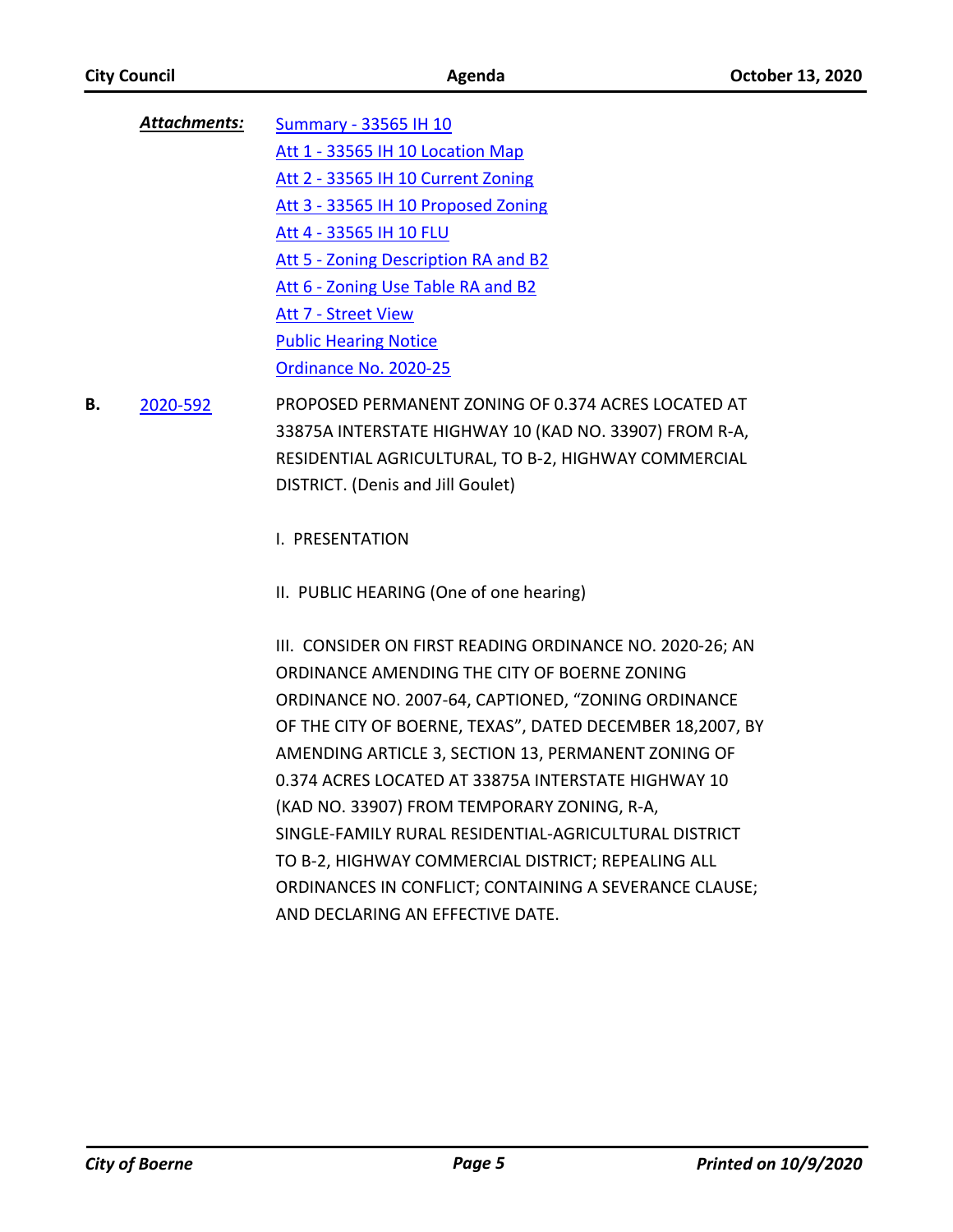| Attachments: | Summary - 33565 IH 10                |
|--------------|--------------------------------------|
|              | Att 1 - 33565 IH 10 Location Map     |
|              | Att 2 - 33565 IH 10 Current Zoning   |
|              | Att 3 - 33565 IH 10 Proposed Zoning  |
|              | Att 4 - 33565 IH 10 FLU              |
|              | Att 5 - Zoning Description RA and B2 |
|              | Att 6 - Zoning Use Table RA and B2   |
|              | Att 7 - Street View                  |
|              | <b>Public Hearing Notice</b>         |
|              | Ordinance No. 2020-25                |

PROPOSED PERMANENT ZONING OF 0.374 ACRES LOCATED AT 33875A INTERSTATE HIGHWAY 10 (KAD NO. 33907) FROM R-A, RESIDENTIAL AGRICULTURAL, TO B-2, HIGHWAY COMMERCIAL DISTRICT. (Denis and Jill Goulet) **B.** [2020-592](http://boerne.legistar.com/gateway.aspx?m=l&id=/matter.aspx?key=5511)

I. PRESENTATION

II. PUBLIC HEARING (One of one hearing)

III. CONSIDER ON FIRST READING ORDINANCE NO. 2020-26; AN ORDINANCE AMENDING THE CITY OF BOERNE ZONING ORDINANCE NO. 2007-64, CAPTIONED, "ZONING ORDINANCE OF THE CITY OF BOERNE, TEXAS", DATED DECEMBER 18,2007, BY AMENDING ARTICLE 3, SECTION 13, PERMANENT ZONING OF 0.374 ACRES LOCATED AT 33875A INTERSTATE HIGHWAY 10 (KAD NO. 33907) FROM TEMPORARY ZONING, R-A, SINGLE-FAMILY RURAL RESIDENTIAL-AGRICULTURAL DISTRICT TO B-2, HIGHWAY COMMERCIAL DISTRICT; REPEALING ALL ORDINANCES IN CONFLICT; CONTAINING A SEVERANCE CLAUSE; AND DECLARING AN EFFECTIVE DATE.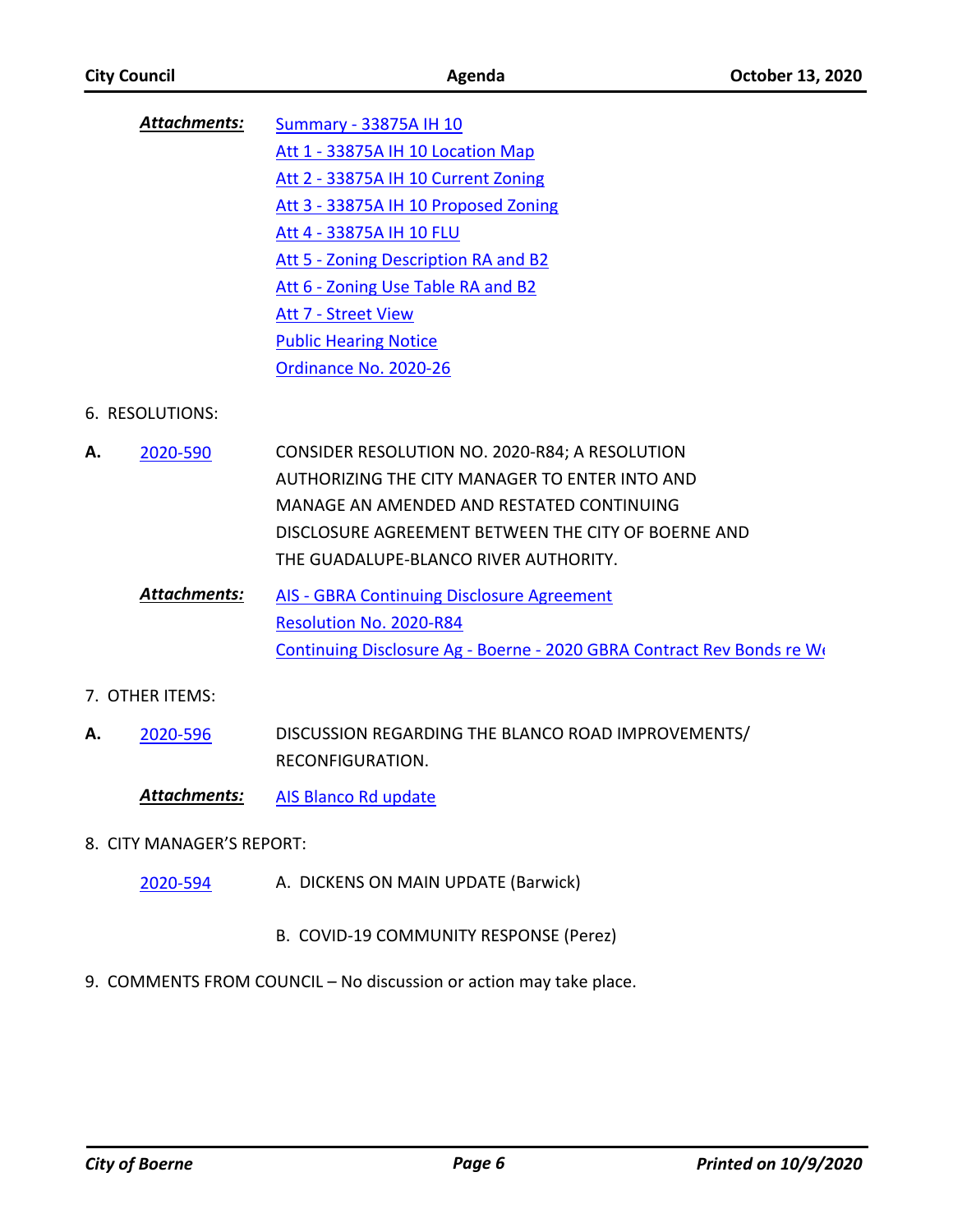| Attachments: | Summary - 33875A IH 10               |
|--------------|--------------------------------------|
|              | Att 1 - 33875A IH 10 Location Map    |
|              | Att 2 - 33875A IH 10 Current Zoning  |
|              | Att 3 - 33875A IH 10 Proposed Zoning |
|              | Att 4 - 33875A IH 10 FLU             |
|              | Att 5 - Zoning Description RA and B2 |
|              | Att 6 - Zoning Use Table RA and B2   |
|              | <b>Att 7 - Street View</b>           |
|              | <b>Public Hearing Notice</b>         |
|              | Ordinance No. 2020-26                |

### 6. RESOLUTIONS:

- CONSIDER RESOLUTION NO. 2020-R84; A RESOLUTION AUTHORIZING THE CITY MANAGER TO ENTER INTO AND MANAGE AN AMENDED AND RESTATED CONTINUING DISCLOSURE AGREEMENT BETWEEN THE CITY OF BOERNE AND THE GUADALUPE-BLANCO RIVER AUTHORITY. **A.** [2020-590](http://boerne.legistar.com/gateway.aspx?m=l&id=/matter.aspx?key=5509)
	- [AIS GBRA Continuing Disclosure Agreement](http://boerne.legistar.com/gateway.aspx?M=F&ID=9f5cabfd-fbee-4027-b326-e5ff9fcfee24.docx) [Resolution No. 2020-R84](http://boerne.legistar.com/gateway.aspx?M=F&ID=87775b12-d42e-4a97-baf5-2f783b4290bc.doc) [Continuing Disclosure Ag - Boerne - 2020 GBRA Contract Rev Bonds re We](http://boerne.legistar.com/gateway.aspx?M=F&ID=0a364275-5392-4367-8d1e-10e6a052b5e2.pdf) *Attachments:*

#### 7. OTHER ITEMS:

DISCUSSION REGARDING THE BLANCO ROAD IMPROVEMENTS/ RECONFIGURATION. **A.** [2020-596](http://boerne.legistar.com/gateway.aspx?m=l&id=/matter.aspx?key=5515)

*Attachments:* [AIS Blanco Rd update](http://boerne.legistar.com/gateway.aspx?M=F&ID=39402e5b-5829-4e9f-8349-c116ebcea2a1.doc)

#### 8. CITY MANAGER'S REPORT:

- A. DICKENS ON MAIN UPDATE (Barwick) [2020-594](http://boerne.legistar.com/gateway.aspx?m=l&id=/matter.aspx?key=5513)
	- B. COVID-19 COMMUNITY RESPONSE (Perez)
- 9. COMMENTS FROM COUNCIL No discussion or action may take place.